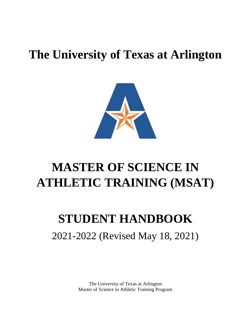### **The University of Texas at Arlington**



### **MASTER OF SCIENCE IN ATHLETIC TRAINING (MSAT)**

### **STUDENT HANDBOOK**

### 2021-2022 (Revised May 18, 2021)

The University of Texas at Arlington Master of Science in Athletic Training Program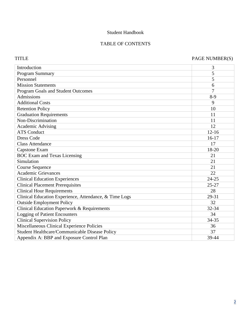#### Student Handbook

#### TABLE OF CONTENTS

#### TITLE PAGE NUMBER(S)

| Introduction                                           | 3         |
|--------------------------------------------------------|-----------|
| Program Summary                                        | 5         |
| Personnel                                              | 5         |
| <b>Mission Statements</b>                              | 6         |
| Program Goals and Student Outcomes                     | 7         |
| Admissions                                             | $8-9$     |
| <b>Additional Costs</b>                                | 9         |
| <b>Retention Policy</b>                                | 10        |
| <b>Graduation Requirements</b>                         | 11        |
| Non-Discrimination                                     | 11        |
| <b>Academic Advising</b>                               | 12        |
| <b>ATS Conduct</b>                                     | $12 - 16$ |
| <b>Dress Code</b>                                      | $16-17$   |
| <b>Class Attendance</b>                                | 17        |
| Capstone Exam                                          | 18-20     |
| <b>BOC Exam and Texas Licensing</b>                    | 21        |
| Simulation                                             | 21        |
| <b>Course Sequence</b>                                 | 21        |
| <b>Academic Grievances</b>                             | 22        |
| <b>Clinical Education Experiences</b>                  | $24 - 25$ |
| <b>Clinical Placement Prerequisites</b>                | $25 - 27$ |
| <b>Clinical Hour Requirements</b>                      | 28        |
| Clinical Education Experience, Attendance, & Time Logs | 29-31     |
| <b>Outside Employment Policy</b>                       | 32        |
| <b>Clinical Education Paperwork &amp; Requirements</b> | 32-34     |
| <b>Logging of Patient Encounters</b>                   | 34        |
| <b>Clinical Supervision Policy</b>                     | 34-35     |
| Miscellaneous Clinical Experience Policies             | 36        |
| Student Healthcare/Communicable Disease Policy         | 37        |
| Appendix A: BBP and Exposure Control Plan              | 39-44     |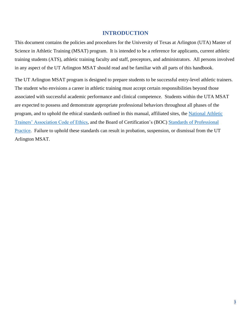#### **INTRODUCTION**

This document contains the policies and procedures for the University of Texas at Arlington (UTA) Master of Science in Athletic Training (MSAT) program. It is intended to be a reference for applicants, current athletic training students (ATS), athletic training faculty and staff, preceptors, and administrators. All persons involved in any aspect of the UT Arlington MSAT should read and be familiar with all parts of this handbook.

The UT Arlington MSAT program is designed to prepare students to be successful entry-level athletic trainers. The student who envisions a career in athletic training must accept certain responsibilities beyond those associated with successful academic performance and clinical competence. Students within the UTA MSAT are expected to possess and demonstrate appropriate professional behaviors throughout all phases of the program, and to uphold the ethical standards outlined in this manual, affiliated sites, the [National Athletic](https://www.nata.org/membership/about-membership/member-resources/code-of-ethics)  [Trainers' Association Code of Ethics,](https://www.nata.org/membership/about-membership/member-resources/code-of-ethics) and the Board of Certification's (BOC) [Standards of Professional](https://7f6907b2.flowpaper.com/SOPP012021/#page=1)  [Practice.](https://7f6907b2.flowpaper.com/SOPP012021/#page=1) Failure to uphold these standards can result in probation, suspension, or dismissal from the UT Arlington MSAT.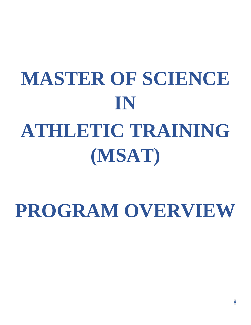## **MASTER OF SCIENCE IN ATHLETIC TRAINING (MSAT)**

## **PROGRAM OVERVIEW**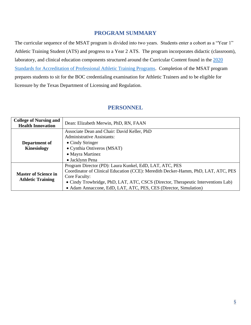#### **PROGRAM SUMMARY**

The curricular sequence of the MSAT program is divided into two years. Students enter a cohort as a "Year 1" Athletic Training Student (ATS) and progress to a Year 2 ATS. The program incorporates didactic (classroom), laboratory, and clinical education components structured around the Curricular Content found in the 2020 [Standards for Accreditation of Professional Athletic Training Programs.](https://caate.net/wp-content/uploads/2021/01/Pursuing-Maintaining-and-Guide-to-2020-Standards-FInal_approved-Dec-2020.pdf) Completion of the MSAT program prepares students to sit for the BOC credentialing examination for Athletic Trainers and to be eligible for licensure by the Texas Department of Licensing and Regulation.

#### **PERSONNEL**

| <b>College of Nursing and</b><br><b>Health Innovation</b> | Dean: Elizabeth Merwin, PhD, RN, FAAN                                             |  |  |
|-----------------------------------------------------------|-----------------------------------------------------------------------------------|--|--|
|                                                           |                                                                                   |  |  |
|                                                           | Associate Dean and Chair: David Keller, PhD                                       |  |  |
|                                                           | <b>Administrative Assistants:</b>                                                 |  |  |
| Department of                                             | • Cindy Stringer                                                                  |  |  |
| <b>Kinesiology</b>                                        | • Cynthia Ontiveros (MSAT)                                                        |  |  |
|                                                           | • Mayra Martinez                                                                  |  |  |
|                                                           | • Jacklynn Pena                                                                   |  |  |
|                                                           | Program Director (PD): Laura Kunkel, EdD, LAT, ATC, PES                           |  |  |
| <b>Master of Science in</b>                               | Coordinator of Clinical Education (CCE): Meredith Decker-Hamm, PhD, LAT, ATC, PES |  |  |
| <b>Athletic Training</b>                                  | Core Faculty:                                                                     |  |  |
|                                                           | • Cindy Trowbridge, PhD, LAT, ATC, CSCS (Director, Therapeutic Interventions Lab) |  |  |
|                                                           | • Adam Annaccone, EdD, LAT, ATC, PES, CES (Director, Simulation)                  |  |  |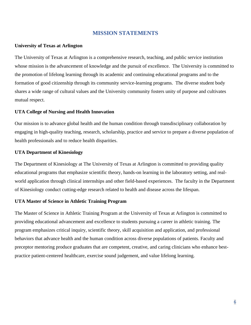#### **MISSION STATEMENTS**

#### **University of Texas at Arlington**

The University of Texas at Arlington is a comprehensive research, teaching, and public service institution whose mission is the advancement of knowledge and the pursuit of excellence. The University is committed to the promotion of lifelong learning through its academic and continuing educational programs and to the formation of good citizenship through its community service-learning programs. The diverse student body shares a wide range of cultural values and the University community fosters unity of purpose and cultivates mutual respect.

#### **UTA College of Nursing and Health Innovation**

Our mission is to advance global health and the human condition through transdisciplinary collaboration by engaging in high-quality teaching, research, scholarship, practice and service to prepare a diverse population of health professionals and to reduce health disparities.

#### **UTA Department of Kinesiology**

The Department of Kinesiology at The University of Texas at Arlington is committed to providing quality educational programs that emphasize scientific theory, hands-on learning in the laboratory setting, and realworld application through clinical internships and other field-based experiences. The faculty in the Department of Kinesiology conduct cutting-edge research related to health and disease across the lifespan.

#### **UTA Master of Science in Athletic Training Program**

The Master of Science in Athletic Training Program at the University of Texas at Arlington is committed to providing educational advancement and excellence to students pursuing a career in athletic training. The program emphasizes critical inquiry, scientific theory, skill acquisition and application, and professional behaviors that advance health and the human condition across diverse populations of patients. Faculty and preceptor mentoring produce graduates that are competent, creative, and caring clinicians who enhance bestpractice patient-centered healthcare, exercise sound judgement, and value lifelong learning.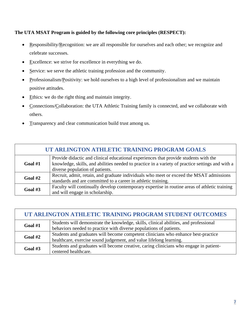#### **The UTA MSAT Program is guided by the following core principles (RESPECT):**

- Responsibility/Recognition: we are all responsible for ourselves and each other; we recognize and celebrate successes.
- Excellence: we strive for excellence in everything we do.
- Service: we serve the athletic training profession and the community.
- Professionalism/Positivity: we hold ourselves to a high level of professionalism and we maintain positive attitudes.
- Ethics: we do the right thing and maintain integrity.
- Connections/Collaboration: the UTA Athletic Training family is connected, and we collaborate with others.
- Transparency and clear communication build trust among us.

| UT ARLINGTON ATHLETIC TRAINING PROGRAM GOALS |                                                                                                                                                                                                                             |  |  |
|----------------------------------------------|-----------------------------------------------------------------------------------------------------------------------------------------------------------------------------------------------------------------------------|--|--|
| Goal $#1$                                    | Provide didactic and clinical educational experiences that provide students with the<br>knowledge, skills, and abilities needed to practice in a variety of practice settings and with a<br>diverse population of patients. |  |  |
| Goal #2                                      | Recruit, admit, retain, and graduate individuals who meet or exceed the MSAT admissions<br>standards and are committed to a career in athletic training.                                                                    |  |  |
| Goal #3                                      | Faculty will continually develop contemporary expertise in routine areas of athletic training<br>and will engage in scholarship.                                                                                            |  |  |

| UT ARLINGTON ATHLETIC TRAINING PROGRAM STUDENT OUTCOMES |                                                                                       |  |  |
|---------------------------------------------------------|---------------------------------------------------------------------------------------|--|--|
| Goal #1                                                 | Students will demonstrate the knowledge, skills, clinical abilities, and professional |  |  |
|                                                         | behaviors needed to practice with diverse populations of patients.                    |  |  |
| Goal #2                                                 | Students and graduates will become competent clinicians who enhance best-practice     |  |  |
|                                                         | healthcare, exercise sound judgement, and value lifelong learning.                    |  |  |
| Goal $#3$                                               | Students and graduates will become creative, caring clinicians who engage in patient- |  |  |
|                                                         | centered healthcare.                                                                  |  |  |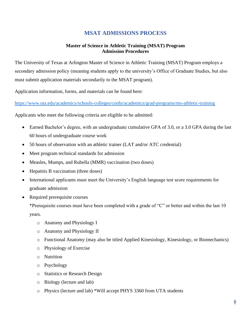#### **MSAT ADMISSIONS PROCESS**

#### **Master of Science in Athletic Training (MSAT) Program Admission Procedures**

The University of Texas at Arlington Master of Science in Athletic Training (MSAT) Program employs a secondary admission policy (meaning students apply to the university's Office of Graduate Studies, but also must submit application materials secondarily to the MSAT program).

Application information, forms, and materials can be found here:

<https://www.uta.edu/academics/schools-colleges/conhi/academics/grad-programs/ms-athletic-training>

Applicants who meet the following criteria are eligible to be admitted:

- Earned Bachelor's degree, with an undergraduate cumulative GPA of 3.0, or a 3.0 GPA during the last 60 hours of undergraduate course work
- 50 hours of observation with an athletic trainer (LAT and/or ATC credential)
- Meet program technical standards for admission
- Measles, Mumps, and Rubella (MMR) vaccination (two doses)
- Hepatitis B vaccination (three doses)
- International applicants must meet the University's English language test score requirements for graduate admission
- Required prerequisite courses

\*Prerequisite courses must have been completed with a grade of "C" or better and within the last 10 years.

- o Anatomy and Physiology I
- o Anatomy and Physiology II
- o Functional Anatomy (may also be titled Applied Kinesiology, Kinesiology, or Biomechanics)
- o Physiology of Exercise
- o Nutrition
- o Psychology
- o Statistics or Research Design
- o Biology (lecture and lab)
- o Physics (lecture and lab) \*Will accept PHYS 3360 from UTA students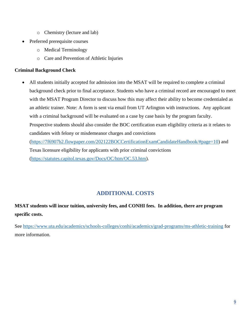- o Chemistry (lecture and lab)
- Preferred prerequisite courses
	- o Medical Terminology
	- o Care and Prevention of Athletic Injuries

#### **Criminal Background Check**

All students initially accepted for admission into the MSAT will be required to complete a criminal background check prior to final acceptance. Students who have a criminal record are encouraged to meet with the MSAT Program Director to discuss how this may affect their ability to become credentialed as an athletic trainer. Note: A form is sent via email from UT Arlington with instructions. Any applicant with a criminal background will be evaluated on a case by case basis by the program faculty. Prospective students should also consider the BOC certification exam eligibility criteria as it relates to candidates with felony or misdemeanor charges and convictions [\(https://7f6907b2.flowpaper.com/202122BOCCertificationExamCandidateHandbook/#page=10\)](https://7f6907b2.flowpaper.com/202122BOCCertificationExamCandidateHandbook/#page=10) and Texas licensure eligibility for applicants with prior criminal convictions [\(https://statutes.capitol.texas.gov/Docs/OC/htm/OC.53.htm\)](https://statutes.capitol.texas.gov/Docs/OC/htm/OC.53.htm).

#### **ADDITIONAL COSTS**

### **MSAT students will incur tuition, university fees, and CONHI fees. In addition, there are program specific costs.**

See<https://www.uta.edu/academics/schools-colleges/conhi/academics/grad-programs/ms-athletic-training> for more information.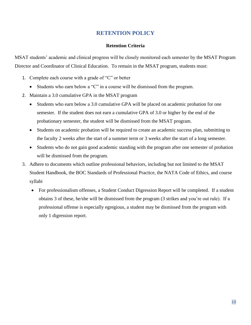#### **RETENTION POLICY**

#### **Retention Criteria**

MSAT students' academic and clinical progress will be closely monitored each semester by the MSAT Program Director and Coordinator of Clinical Education. To remain in the MSAT program, students must:

- 1. Complete each course with a grade of "C" or better
	- Students who earn below a "C" in a course will be dismissed from the program.
- 2. Maintain a 3.0 cumulative GPA in the MSAT program
	- Students who earn below a 3.0 cumulative GPA will be placed on academic probation for one semester. If the student does not earn a cumulative GPA of 3.0 or higher by the end of the probationary semester, the student will be dismissed from the MSAT program.
	- Students on academic probation will be required to create an academic success plan, submitting to the faculty 2 weeks after the start of a summer term or 3 weeks after the start of a long semester.
	- Students who do not gain good academic standing with the program after one semester of probation will be dismissed from the program.
- 3. Adhere to documents which outline professional behaviors, including but not limited to the MSAT Student Handbook, the BOC Standards of Professional Practice, the NATA Code of Ethics, and course syllabi
	- For professionalism offenses, a Student Conduct Digression Report will be completed. If a student obtains 3 of these, he/she will be dismissed from the program (3 strikes and you're out rule). If a professional offense is especially egregious, a student may be dismissed from the program with only 1 digression report.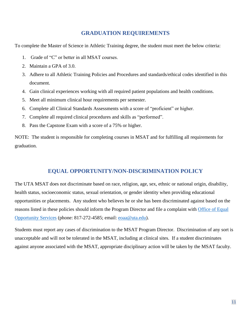#### **GRADUATION REQUIREMENTS**

To complete the Master of Science in Athletic Training degree, the student must meet the below criteria:

- 1. Grade of "C" or better in all MSAT courses.
- 2. Maintain a GPA of 3.0.
- 3. Adhere to all Athletic Training Policies and Procedures and standards/ethical codes identified in this document.
- 4. Gain clinical experiences working with all required patient populations and health conditions.
- 5. Meet all minimum clinical hour requirements per semester.
- 6. Complete all Clinical Standards Assessments with a score of "proficient" or higher.
- 7. Complete all required clinical procedures and skills as "performed".
- 8. Pass the Capstone Exam with a score of a 75% or higher.

NOTE: The student is responsible for completing courses in MSAT and for fulfilling all requirements for graduation.

#### **EQUAL OPPORTUNITY/NON-DISCRIMINATION POLICY**

The UTA MSAT does not discriminate based on race, religion, age, sex, ethnic or national origin, disability, health status, socioeconomic status, sexual orientation, or gender identity when providing educational opportunities or placements. Any student who believes he or she has been discriminated against based on the reasons listed in these policies should inform the Program Director and file a complaint with [Office of Equal](https://www.uta.edu/eos-title-ix/equal-opportunity-services/complaint-process)  [Opportunity Services](https://www.uta.edu/eos-title-ix/equal-opportunity-services/complaint-process) (phone: 817-272-4585; email: [eoaa@uta.edu\)](mailto:eoaa@uta.edu).

Students must report any cases of discrimination to the MSAT Program Director. Discrimination of any sort is unacceptable and will not be tolerated in the MSAT, including at clinical sites. If a student discriminates against anyone associated with the MSAT, appropriate disciplinary action will be taken by the MSAT faculty.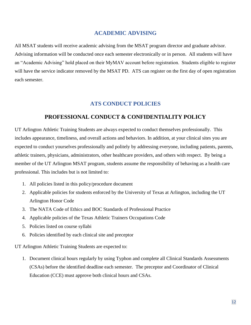#### **ACADEMIC ADVISING**

All MSAT students will receive academic advising from the MSAT program director and graduate advisor. Advising information will be conducted once each semester electronically or in person. All students will have an "Academic Advising" hold placed on their MyMAV account before registration. Students eligible to register will have the service indicator removed by the MSAT PD. ATS can register on the first day of open registration each semester.

#### **ATS CONDUCT POLICIES**

#### **PROFESSIONAL CONDUCT & CONFIDENTIALITY POLICY**

UT Arlington Athletic Training Students are always expected to conduct themselves professionally. This includes appearance, timeliness, and overall actions and behaviors. In addition, at your clinical sites you are expected to conduct yourselves professionally and politely by addressing everyone, including patients, parents, athletic trainers, physicians, administrators, other healthcare providers, and others with respect. By being a member of the UT Arlington MSAT program, students assume the responsibility of behaving as a health care professional. This includes but is not limited to:

- 1. All policies listed in this policy/procedure document
- 2. Applicable policies for students enforced by the University of Texas at Arlington, including the UT Arlington Honor Code
- 3. The NATA Code of Ethics and BOC Standards of Professional Practice
- 4. Applicable policies of the Texas Athletic Trainers Occupations Code
- 5. Policies listed on course syllabi
- 6. Policies identified by each clinical site and preceptor

UT Arlington Athletic Training Students are expected to:

1. Document clinical hours regularly by using Typhon and complete all Clinical Standards Assessments (CSAs) before the identified deadline each semester. The preceptor and Coordinator of Clinical Education (CCE) must approve both clinical hours and CSAs.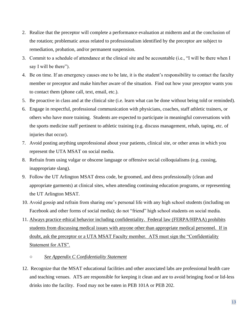- 2. Realize that the preceptor will complete a performance evaluation at midterm and at the conclusion of the rotation; problematic areas related to professionalism identified by the preceptor are subject to remediation, probation, and/or permanent suspension.
- 3. Commit to a schedule of attendance at the clinical site and be accountable (i.e., "I will be there when I say I will be there").
- 4. Be on time. If an emergency causes one to be late, it is the student's responsibility to contact the faculty member or preceptor and make him/her aware of the situation. Find out how your preceptor wants you to contact them (phone call, text, email, etc.).
- 5. Be proactive in class and at the clinical site (i.e. learn what can be done without being told or reminded).
- 6. Engage in respectful, professional communication with physicians, coaches, staff athletic trainers, or others who have more training. Students are expected to participate in meaningful conversations with the sports medicine staff pertinent to athletic training (e.g. discuss management, rehab, taping, etc. of injuries that occur).
- 7. Avoid posting anything unprofessional about your patients, clinical site, or other areas in which you represent the UTA MSAT on social media.
- 8. Refrain from using vulgar or obscene language or offensive social colloquialisms (e.g. cussing, inappropriate slang).
- 9. Follow the UT Arlington MSAT dress code, be groomed, and dress professionally (clean and appropriate garments) at clinical sites, when attending continuing education programs, or representing the UT Arlington MSAT.
- 10. Avoid gossip and refrain from sharing one's personal life with any high school students (including on Facebook and other forms of social media); do not "friend" high school students on social media.
- 11. Always practice ethical behavior including confidentiality. Federal law (FERPA/HIPAA) prohibits students from discussing medical issues with anyone other than appropriate medical personnel. If in doubt, ask the preceptor or a UTA MSAT Faculty member. ATS must sign the "Confidentiality Statement for ATS".
	- *See Appendix C Confidentiality Statement*
- 12. Recognize that the MSAT educational facilities and other associated labs are professional health care and teaching venues. ATS are responsible for keeping it clean and are to avoid bringing food or lid-less drinks into the facility. Food may not be eaten in PEB 101A or PEB 202.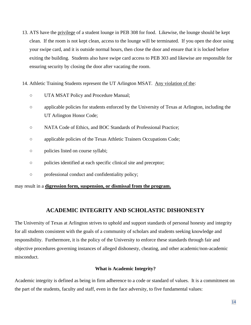- 13. ATS have the privilege of a student lounge in PEB 308 for food. Likewise, the lounge should be kept clean. If the room is not kept clean, access to the lounge will be terminated. If you open the door using your swipe card, and it is outside normal hours, then close the door and ensure that it is locked before exiting the building. Students also have swipe card access to PEB 303 and likewise are responsible for ensuring security by closing the door after vacating the room.
- 14. Athletic Training Students represent the UT Arlington MSAT. Any violation of the:
	- UTA MSAT Policy and Procedure Manual;
	- applicable policies for students enforced by the University of Texas at Arlington, including the UT Arlington Honor Code;
	- NATA Code of Ethics, and BOC Standards of Professional Practice;
	- applicable policies of the Texas Athletic Trainers Occupations Code;
	- policies listed on course syllabi;
	- policies identified at each specific clinical site and preceptor;
	- professional conduct and confidentiality policy;

may result in a **digression form, suspension, or dismissal from the program.**

#### **ACADEMIC INTEGRITY AND SCHOLASTIC DISHONESTY**

The University of Texas at Arlington strives to uphold and support standards of personal honesty and integrity for all students consistent with the goals of a community of scholars and students seeking knowledge and responsibility. Furthermore, it is the policy of the University to enforce these standards through fair and objective procedures governing instances of alleged dishonesty, cheating, and other academic/non-academic misconduct.

#### **What is Academic Integrity?**

Academic integrity is defined as being in firm adherence to a code or standard of values. It is a commitment on the part of the students, faculty and staff, even in the face adversity, to five fundamental values: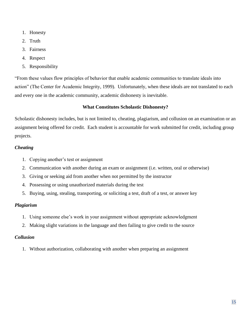- 1. Honesty
- 2. Truth
- 3. Fairness
- 4. Respect
- 5. Responsibility

"From these values flow principles of behavior that enable academic communities to translate ideals into action" (The Center for Academic Integrity, 1999). Unfortunately, when these ideals are not translated to each and every one in the academic community, academic dishonesty is inevitable.

#### **What Constitutes Scholastic Dishonesty?**

Scholastic dishonesty includes, but is not limited to, cheating, plagiarism, and collusion on an examination or an assignment being offered for credit. Each student is accountable for work submitted for credit, including group projects.

#### *Cheating*

- 1. Copying another's test or assignment
- 2. Communication with another during an exam or assignment (i.e. written, oral or otherwise)
- 3. Giving or seeking aid from another when not permitted by the instructor
- 4. Possessing or using unauthorized materials during the test
- 5. Buying, using, stealing, transporting, or soliciting a test, draft of a test, or answer key

#### *Plagiarism*

- 1. Using someone else's work in your assignment without appropriate acknowledgment
- 2. Making slight variations in the language and then failing to give credit to the source

#### *Collusion*

1. Without authorization, collaborating with another when preparing an assignment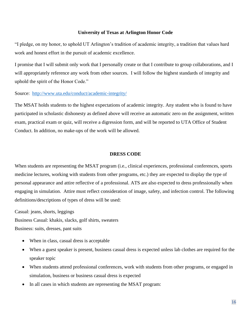#### **University of Texas at Arlington Honor Code**

"I pledge, on my honor, to uphold UT Arlington's tradition of academic integrity, a tradition that values hard work and honest effort in the pursuit of academic excellence.

I promise that I will submit only work that I personally create or that I contribute to group collaborations, and I will appropriately reference any work from other sources. I will follow the highest standards of integrity and uphold the spirit of the Honor Code."

#### Source: <http://www.uta.edu/conduct/academic-integrity/>

The MSAT holds students to the highest expectations of academic integrity. Any student who is found to have participated in scholastic dishonesty as defined above will receive an automatic zero on the assignment, written exam, practical exam or quiz, will receive a digression form, and will be reported to UTA Office of Student Conduct. In addition, no make-ups of the work will be allowed.

#### **DRESS CODE**

When students are representing the MSAT program (i.e., clinical experiences, professional conferences, sports medicine lectures, working with students from other programs, etc.) they are expected to display the type of personal appearance and attire reflective of a professional. ATS are also expected to dress professionally when engaging in simulation. Attire must reflect consideration of image, safety, and infection control. The following definitions/descriptions of types of dress will be used:

Casual: jeans, shorts, leggings Business Casual: khakis, slacks, golf shirts, sweaters Business: suits, dresses, pant suits

- When in class, casual dress is acceptable
- When a guest speaker is present, business casual dress is expected unless lab clothes are required for the speaker topic
- When students attend professional conferences, work with students from other programs, or engaged in simulation, business or business casual dress is expected
- In all cases in which students are representing the MSAT program: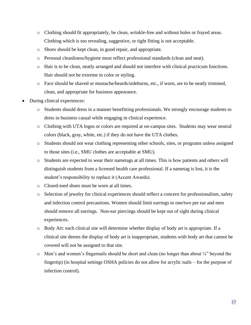- o Clothing should fit appropriately, be clean, wrinkle-free and without holes or frayed areas. Clothing which is too revealing, suggestive, or tight fitting is not acceptable.
- o Shoes should be kept clean, in good repair, and appropriate.
- o Personal cleanliness/hygiene must reflect professional standards (clean and neat).
- o Hair is to be clean, neatly arranged and should not interfere with clinical practicum functions. Hair should not be extreme in color or styling.
- o Face should be shaved or mustache/beards/sideburns, etc., if worn, are to be neatly trimmed, clean, and appropriate for business appearance.
- During clinical experiences:
	- o Students should dress in a manner benefitting professionals. We strongly encourage students to dress in business casual while engaging in clinical experience.
	- o Clothing with UTA logos or colors are required at on-campus sites. Students may wear neutral colors (black, gray, white, etc.) if they do not have the UTA clothes.
	- o Students should not wear clothing representing other schools, sites, or programs unless assigned to those sites (i.e., SMU clothes are acceptable at SMU).
	- o Students are expected to wear their nametags at all times. This is how patients and others will distinguish students from a licensed health care professional. If a nametag is lost, it is the student's responsibility to replace it (Accent Awards).
	- o Closed-toed shoes must be worn at all times.
	- o Selection of jewelry for clinical experiences should reflect a concern for professionalism, safety and infection control precautions. Women should limit earrings to one/two per ear and men should remove all earrings. Non-ear piercings should be kept out of sight during clinical experiences.
	- o Body Art: each clinical site will determine whether display of body art is appropriate. If a clinical site deems the display of body art is inappropriate, students with body art that cannot be covered will not be assigned to that site.
	- $\circ$  Men's and women's fingernails should be short and clean (no longer than about  $\frac{1}{4}$ " beyond the fingertip) (in hospital settings OSHA policies do not allow for acrylic nails – for the purpose of infection control).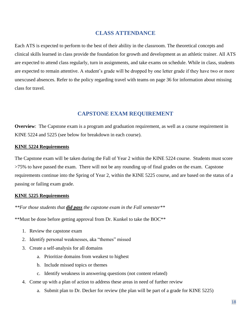#### **CLASS ATTENDANCE**

Each ATS is expected to perform to the best of their ability in the classroom. The theoretical concepts and clinical skills learned in class provide the foundation for growth and development as an athletic trainer. All ATS are expected to attend class regularly, turn in assignments, and take exams on schedule. While in class, students are expected to remain attentive. A student's grade will be dropped by one letter grade if they have two or more unexcused absences. Refer to the policy regarding travel with teams on page 36 for information about missing class for travel.

#### **CAPSTONE EXAM REQUIREMENT**

**Overview**: The Capstone exam is a program and graduation requirement, as well as a course requirement in KINE 5224 and 5225 (see below for breakdown in each course).

#### **KINE 5224 Requirements**

The Capstone exam will be taken during the Fall of Year 2 within the KINE 5224 course. Students must score >75% to have passed the exam. There will not be any rounding up of final grades on the exam. Capstone requirements continue into the Spring of Year 2, within the KINE 5225 course, and are based on the status of a passing or failing exam grade.

#### **KINE 5225 Requirements**

#### *\*\*For those students that did pass the capstone exam in the Fall semester\*\**

\*\*Must be done before getting approval from Dr. Kunkel to take the BOC\*\*

- 1. Review the capstone exam
- 2. Identify personal weaknesses, aka "themes" missed
- 3. Create a self-analysis for all domains
	- a. Prioritize domains from weakest to highest
	- b. Include missed topics or themes
	- c. Identify weakness in answering questions (not content related)
- 4. Come up with a plan of action to address these areas in need of further review
	- a. Submit plan to Dr. Decker for review (the plan will be part of a grade for KINE 5225)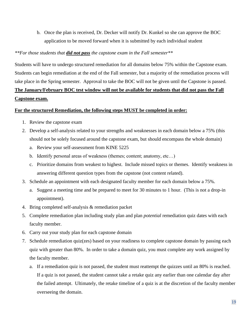b. Once the plan is received, Dr. Decker will notify Dr. Kunkel so she can approve the BOC application to be moved forward when it is submitted by each individual student

#### *\*\*For those students that did not pass the capstone exam in the Fall semester\*\**

Students will have to undergo structured remediation for all domains below 75% within the Capstone exam. Students can begin remediation at the end of the Fall semester, but a majority of the remediation process will take place in the Spring semester. Approval to take the BOC will not be given until the Capstone is passed. **The January/February BOC test window will not be available for students that did not pass the Fall Capstone exam.**

#### **For the structured Remediation, the following steps MUST be completed in order:**

- 1. Review the capstone exam
- 2. Develop a self-analysis related to your strengths and weaknesses in each domain below a 75% (this should not be solely focused around the capstone exam, but should encompass the whole domain)
	- a. Review your self-assessment from KINE 5225
	- b. Identify personal areas of weakness (themes; content; anatomy, etc…)
	- c. Prioritize domains from weakest to highest. Include missed topics or themes. Identify weakness in answering different question types from the capstone (not content related).
- 3. Schedule an appointment with each designated faculty member for each domain below a 75%.
	- a. Suggest a meeting time and be prepared to meet for 30 minutes to 1 hour. (This is not a drop-in appointment).
- 4. Bring completed self-analysis & remediation packet
- 5. Complete remediation plan including study plan and plan *potential* remediation quiz dates with each faculty member.
- 6. Carry out your study plan for each capstone domain
- 7. Schedule remediation quiz(zes) based on your readiness to complete capstone domain by passing each quiz with greater than 80%. In order to take a domain quiz, you must complete any work assigned by the faculty member.
	- a. If a remediation quiz is not passed, the student must reattempt the quizzes until an 80% is reached. If a quiz is not passed, the student cannot take a retake quiz any earlier than one calendar day after the failed attempt. Ultimately, the retake timeline of a quiz is at the discretion of the faculty member overseeing the domain.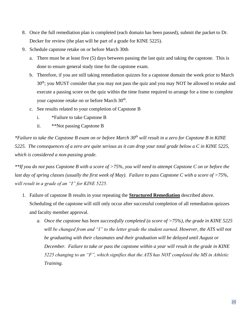- 8. Once the full remediation plan is completed (each domain has been passed), submit the packet to Dr. Decker for review (the plan will be part of a grade for KINE 5225).
- 9. Schedule capstone retake on or before March 30th
	- a. There must be at least five (5) days between passing the last quiz and taking the capstone. This is done to ensure general study time for the capstone exam.
	- b. Therefore, if you are still taking remediation quizzes for a capstone domain the week prior to March 30<sup>th</sup>; you MUST consider that you may not pass the quiz and you may NOT be allowed to retake and execute a passing score on the quiz within the time frame required to arrange for a time to complete your capstone retake on or before March 30<sup>th</sup>.
	- c. See results related to your completion of Capstone B
		- i. \*Failure to take Capstone B
		- ii. \*\*Not passing Capstone B

*\*Failure to take the Capstone B exam on or before March 30th will result in a zero for Capstone B in KINE 5225. The consequences of a zero are quite serious as it can drop your total grade below a C in KINE 5225, which is considered a non-passing grade.* 

*\*\*If you do not pass Capstone B with a score of >75%, you will need to attempt Capstone C on or before the last day of spring classes (usually the first week of May). Failure to pass Capstone C with a score of >75%, will result in a grade of an "I" for KINE 5225.*

- 1. Failure of capstone B results in your repeating the **Structured Remediation** described above. Scheduling of the capstone will still only occur after successful completion of all remediation quizzes and faculty member approval.
	- *a. Once the capstone has been successfully completed (a score of >75%), the grade in KINE 5225*  will be changed from and "I" to the letter grade the student earned. However, the ATS will not *be graduating with their classmates and their graduation will be delayed until August or December. Failure to take or pass the capstone within a year will result in the grade in KINE 5225 changing to an "F", which signifies that the ATS has NOT completed the MS in Athletic Training.*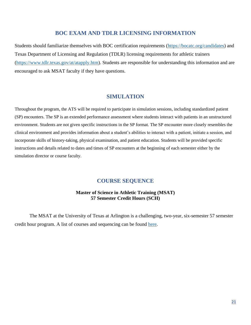#### **BOC EXAM AND TDLR LICENSING INFORMATION**

Students should familiarize themselves with BOC certification requirements [\(https://bocatc.org/candidates\)](https://bocatc.org/candidates) and Texas Department of Licensing and Regulation (TDLR) licensing requirements for athletic trainers [\(https://www.tdlr.texas.gov/at/atapply.htm\)](https://www.tdlr.texas.gov/at/atapply.htm). Students are responsible for understanding this information and are encouraged to ask MSAT faculty if they have questions.

#### **SIMULATION**

Throughout the program, the ATS will be required to participate in simulation sessions, including standardized patient (SP) encounters. The SP is an extended performance assessment where students interact with patients in an unstructured environment. Students are not given specific instructions in the SP format. The SP encounter more closely resembles the clinical environment and provides information about a student's abilities to interact with a patient, initiate a session, and incorporate skills of history-taking, physical examination, and patient education. Students will be provided specific instructions and details related to dates and times of SP encounters at the beginning of each semester either by the simulation director or course faculty.

#### **COURSE SEQUENCE**

#### **Master of Science in Athletic Training (MSAT) 57 Semester Credit Hours (SCH)**

The MSAT at the University of Texas at Arlington is a challenging, two-year, six-semester 57 semester credit hour program. A list of courses and sequencing can be found [here.](https://cdn.web.uta.edu/-/media/project/website/conhi/documents/kinesiology/grad-athletic-training/msatcoursesequence2019.ashx?sc_lang=en&revision=61cf91f8-2194-4408-b384-b95f81c967ef&hash=EE8AA3AE63DDEF7297BAAF7394880121)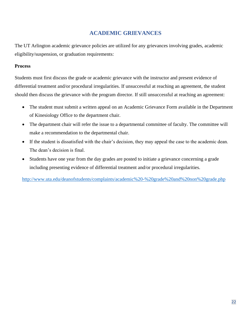#### **ACADEMIC GRIEVANCES**

The UT Arlington academic grievance policies are utilized for any grievances involving grades, academic eligibility/suspension, or graduation requirements:

#### **Process**

Students must first discuss the grade or academic grievance with the instructor and present evidence of differential treatment and/or procedural irregularities. If unsuccessful at reaching an agreement, the student should then discuss the grievance with the program director. If still unsuccessful at reaching an agreement:

- The student must submit a written appeal on an Academic Grievance Form available in the Department of Kinesiology Office to the department chair.
- The department chair will refer the issue to a departmental committee of faculty. The committee will make a recommendation to the departmental chair.
- If the student is dissatisfied with the chair's decision, they may appeal the case to the academic dean. The dean's decision is final.
- Students have one year from the day grades are posted to initiate a grievance concerning a grade including presenting evidence of differential treatment and/or procedural irregularities.

<http://www.uta.edu/deanofstudents/complaints/academic%20-%20grade%20and%20non%20grade.php>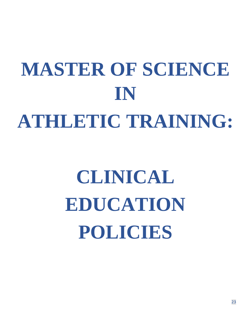## **MASTER OF SCIENCE IN ATHLETIC TRAINING:**

## **CLINICAL EDUCATION POLICIES**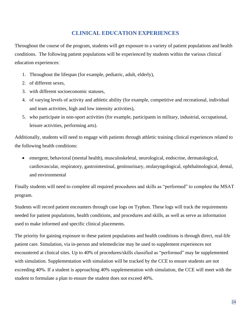#### **CLINICAL EDUCATION EXPERIENCES**

Throughout the course of the program, students will get exposure to a variety of patient populations and health conditions. The following patient populations will be experienced by students within the various clinical education experiences:

- 1. Throughout the lifespan (for example, pediatric, adult, elderly),
- 2. of different sexes,
- 3. with different socioeconomic statuses,
- 4. of varying levels of activity and athletic ability (for example, competitive and recreational, individual and team activities, high and low intensity activities),
- 5. who participate in non-sport activities (for example, participants in military, industrial, occupational, leisure activities, performing arts).

Additionally, students will need to engage with patients through athletic training clinical experiences related to the following health conditions:

• emergent, behavioral (mental health), musculoskeletal, neurological, endocrine, dermatological, cardiovascular, respiratory, gastrointestinal, genitourinary, otolaryngological, ophthalmological, dental, and environmental

Finally students will need to complete all required procedures and skills as "performed" to complete the MSAT program.

Students will record patient encounters through case logs on Typhon. These logs will track the requirements needed for patient populations, health conditions, and procedures and skills, as well as serve as information used to make informed and specific clinical placements.

The priority for gaining exposure to these patient populations and health conditions is through direct, real-life patient care. Simulation, via in-person and telemedicine may be used to supplement experiences not encountered at clinical sites. Up to 40% of procedures/skills classified as "performed" may be supplemented with simulation. Supplementation with simulation will be tracked by the CCE to ensure students are not exceeding 40%. If a student is approaching 40% supplementation with simulation, the CCE will meet with the student to formulate a plan to ensure the student does not exceed 40%.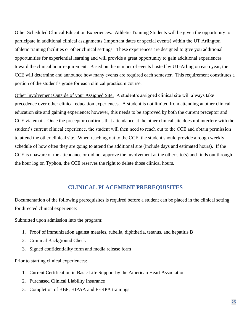Other Scheduled Clinical Education Experiences: Athletic Training Students will be given the opportunity to participate in additional clinical assignments (important dates or special events) within the UT Arlington athletic training facilities or other clinical settings. These experiences are designed to give you additional opportunities for experiential learning and will provide a great opportunity to gain additional experiences toward the clinical hour requirement. Based on the number of events hosted by UT-Arlington each year, the CCE will determine and announce how many events are required each semester. This requirement constitutes a portion of the student's grade for each clinical practicum course.

Other Involvement Outside of your Assigned Site: A student's assigned clinical site will always take precedence over other clinical education experiences. A student is not limited from attending another clinical education site and gaining experience; however, this needs to be approved by both the current preceptor and CCE via email. Once the preceptor confirms that attendance at the other clinical site does not interfere with the student's current clinical experience, the student will then need to reach out to the CCE and obtain permission to attend the other clinical site. When reaching out to the CCE, the student should provide a rough weekly schedule of how often they are going to attend the additional site (include days and estimated hours). If the CCE is unaware of the attendance or did not approve the involvement at the other site(s) and finds out through the hour log on Typhon, the CCE reserves the right to delete those clinical hours.

#### **CLINICAL PLACEMENT PREREQUISITES**

Documentation of the following prerequisites is required before a student can be placed in the clinical setting for directed clinical experience:

Submitted upon admission into the program:

- 1. Proof of immunization against measles, rubella, diphtheria, tetanus, and hepatitis B
- 2. Criminal Background Check
- 3. Signed confidentiality form and media release form

Prior to starting clinical experiences:

- 1. Current Certification in Basic Life Support by the American Heart Association
- 2. Purchased Clinical Liability Insurance
- 3. Completion of BBP, HIPAA and FERPA trainings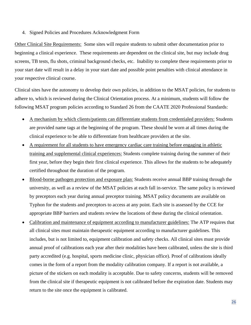4. Signed Policies and Procedures Acknowledgment Form

Other Clinical Site Requirements: Some sites will require students to submit other documentation prior to beginning a clinical experience. These requirements are dependent on the clinical site, but may include drug screens, TB tests, flu shots, criminal background checks, etc. Inability to complete these requirements prior to your start date will result in a delay in your start date and possible point penalties with clinical attendance in your respective clinical course.

Clinical sites have the autonomy to develop their own policies, in addition to the MSAT policies, for students to adhere to, which is reviewed during the Clinical Orientation process. At a minimum, students will follow the following MSAT program policies according to Standard 26 from the CAATE 2020 Professional Standards:

- A mechanism by which clients/patients can differentiate students from credentialed providers: Students are provided name tags at the beginning of the program. These should be worn at all times during the clinical experience to be able to differentiate from healthcare providers at the site.
- A requirement for all students to have emergency cardiac care training before engaging in athletic training and supplemental clinical experiences: Students complete training during the summer of their first year, before they begin their first clinical experience. This allows for the students to be adequately certified throughout the duration of the program.
- Blood-borne pathogen protection and exposure plan: Students receive annual BBP training through the university, as well as a review of the MSAT policies at each fall in-service. The same policy is reviewed by preceptors each year during annual preceptor training. MSAT policy documents are available on Typhon for the students and preceptors to access at any point. Each site is assessed by the CCE for appropriate BBP barriers and students review the locations of these during the clinical orientation.
- Calibration and maintenance of equipment according to manufacturer guidelines: The ATP requires that all clinical sites must maintain therapeutic equipment according to manufacturer guidelines. This includes, but is not limited to, equipment calibration and safety checks. All clinical sites must provide annual proof of calibrations each year after their modalities have been calibrated, unless the site is third party accredited (e.g. hospital, sports medicine clinic, physician office). Proof of calibrations ideally comes in the form of a report from the modality calibration company. If a report is not available, a picture of the stickers on each modality is acceptable. Due to safety concerns, students will be removed from the clinical site if therapeutic equipment is not calibrated before the expiration date. Students may return to the site once the equipment is calibrated.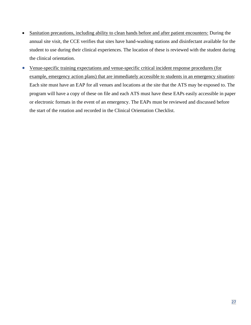- Sanitation precautions, including ability to clean hands before and after patient encounters: During the annual site visit, the CCE verifies that sites have hand-washing stations and disinfectant available for the student to use during their clinical experiences. The location of these is reviewed with the student during the clinical orientation.
- Venue-specific training expectations and venue-specific critical incident response procedures (for example, emergency action plans) that are immediately accessible to students in an emergency situation: Each site must have an EAP for all venues and locations at the site that the ATS may be exposed to. The program will have a copy of these on file and each ATS must have these EAPs easily accessible in paper or electronic formats in the event of an emergency. The EAPs must be reviewed and discussed before the start of the rotation and recorded in the Clinical Orientation Checklist.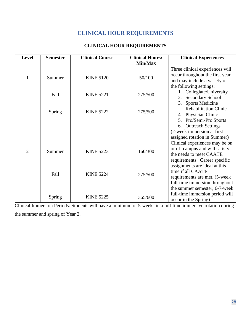### **CLINICAL HOUR REQUIREMENTS**

#### **CLINICAL HOUR REQUIREMENTS**

| <b>Level</b>   | <b>Semester</b>                       | <b>Clinical Course</b>              | <b>Clinical Hours:</b> | <b>Clinical Experiences</b>     |                               |
|----------------|---------------------------------------|-------------------------------------|------------------------|---------------------------------|-------------------------------|
|                |                                       |                                     | Min/Max                |                                 |                               |
|                |                                       |                                     |                        | Three clinical experiences will |                               |
| 1              | Summer                                | <b>KINE 5120</b>                    | 50/100                 | occur throughout the first year |                               |
|                |                                       |                                     |                        | and may include a variety of    |                               |
|                |                                       |                                     |                        | the following settings:         |                               |
|                | Fall                                  | <b>KINE 5221</b>                    | 275/500                | 1. Collegiate/University        |                               |
|                |                                       |                                     |                        |                                 | <b>Secondary School</b><br>2. |
|                |                                       |                                     |                        | <b>Sports Medicine</b><br>3.    |                               |
|                | <b>KINE 5222</b><br>275/500<br>Spring | <b>Rehabilitation Clinic</b>        |                        |                                 |                               |
|                |                                       |                                     |                        | 4. Physician Clinic             |                               |
|                |                                       |                                     |                        | 5. Pro/Semi-Pro Sports          |                               |
|                |                                       |                                     |                        | 6. Outreach Settings            |                               |
|                |                                       |                                     |                        | (2-week immersion at first      |                               |
|                |                                       |                                     |                        | assigned rotation in Summer)    |                               |
|                | Summer                                | <b>KINE 5223</b>                    | 160/300                | Clinical experiences may be on  |                               |
| $\overline{2}$ |                                       |                                     |                        | or off campus and will satisfy  |                               |
|                |                                       |                                     |                        | the needs to meet CAATE         |                               |
|                |                                       |                                     |                        | requirements. Career specific   |                               |
|                |                                       | Fall<br><b>KINE 5224</b><br>275/500 |                        | assignments are ideal at this   |                               |
|                |                                       |                                     | time if all CAATE      |                                 |                               |
|                |                                       |                                     |                        | requirements are met. (5-week   |                               |
|                |                                       |                                     |                        | full-time immersion throughout  |                               |
|                |                                       |                                     |                        | the summer semester; 6-7-week   |                               |
|                | Spring                                | <b>KINE 5225</b>                    | 365/600                | full-time immersion period will |                               |
|                |                                       |                                     |                        | occur in the Spring)            |                               |

Clinical Immersion Periods: Students will have a minimum of 5-weeks in a full-time immersive rotation during the summer and spring of Year 2.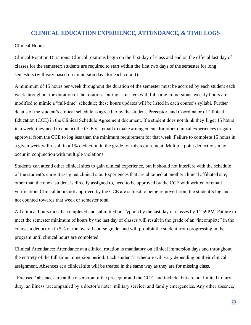#### **CLINICAL EDUCATION EXPERIENCE, ATTENDANCE, & TIME LOGS**

#### Clinical Hours:

Clinical Rotation Durations: Clinical rotations begin on the first day of class and end on the official last day of classes for the semester; students are required to start within the first two days of the semester for long semesters (will vary based on immersion days for each cohort).

A minimum of 15 hours per week throughout the duration of the semester must be accrued by each student each week throughout the duration of the rotation. During semesters with full-time immersions, weekly hours are modified to mimic a "full-time" schedule; these hours updates will be listed in each course's syllabi. Further details of the student's clinical schedule is agreed to by the student, Preceptor, and Coordinator of Clinical Education (CCE) in the Clinical Schedule Agreement document. If a student does not think they'll get 15 hours in a week, they need to contact the CCE via email to make arrangements for other clinical experiences or gain approval from the CCE to log less than the minimum requirement for that week. Failure to complete 15 hours in a given week will result in a 1% deduction in the grade for this requirement. Multiple point deductions may occur in conjunction with multiple violations.

Students can attend other clinical sites to gain clinical experience, but it should not interfere with the schedule of the student's current assigned clinical site. Experiences that are obtained at another clinical affiliated site, other than the one a student is directly assigned to, need to be approved by the CCE with written or email verification. Clinical hours not approved by the CCE are subject to being removed from the student's log and not counted towards that week or semester total.

All clinical hours must be completed and submitted on Typhon by the last day of classes by 11:59PM. Failure to meet the semester minimum of hours by the last day of classes will result in the grade of an "incomplete" in the course, a deduction in 5% of the overall course grade, and will prohibit the student from progressing in the program until clinical hours are completed.

Clinical Attendance: Attendance at a clinical rotation is mandatory on clinical immersion days and throughout the entirety of the full-time immersion period. Each student's schedule will vary depending on their clinical assignment. Absences at a clinical site will be treated in the same way as they are for missing class.

"Excused" absences are at the discretion of the preceptor and the CCE, and include, but are not limited to jury duty, an illness (accompanied by a doctor's note), military service, and family emergencies. Any other absence,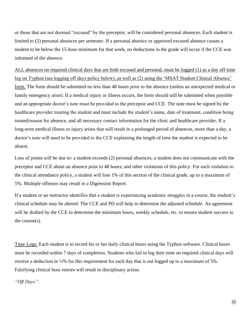or those that are not deemed "excused" by the preceptor, will be considered personal absences. Each student is limited to (2) personal absences per semester. If a personal absence or approved excused absence causes a student to be below the 15-hour minimum for that week, no deductions in the grade will occur if the CCE was informed of the absence.

ALL absences on required clinical days that are both excused and personal, must be logged (1) as a day off time log on Typhon (see logging off days policy below), as well as (2) using the 'MSAT Student Clinical Absence' form. The form should be submitted no less than 48 hours prior to the absence (unless an unexpected medical or family emergency arise). If a medical injury or illness occurs, the form should still be submitted when possible and an appropriate doctor's note must be provided to the preceptor and CCE. The note must be signed by the healthcare provider treating the student and must include the student's name, date of treatment, condition being treated/reason for absence, and all necessary contact information for the clinic and healthcare provider. If a long-term medical illness or injury arises that will result in a prolonged period of absences, more than a day, a doctor's note will need to be provided to the CCE explaining the length of time the student is expected to be absent.

Loss of points will be due to: a student exceeds (2) personal absences; a student does not communicate with the preceptor and CCE about an absence prior to 48 hours; and other violations of this policy. For each violation to the clinical attendance policy, a student will lose 1% of this section of the clinical grade, up to a maximum of 5%. Multiple offenses may result in a Digression Report.

If a student or an instructor identifies that a student is experiencing academic struggles in a course, the student's clinical schedule may be altered. The CCE and PD will help to determine the adjusted schedule. An agreement will be drafted by the CCE to determine the minimum hours, weekly schedule, etc. to ensure student success in the course(s).

Time Logs: Each student is to record his or her daily clinical hours using the Typhon software. Clinical hours must be recorded within 7 days of completion. Students who fail to log their time on required clinical days will receive a deduction in ½% for this requirement for each day that is not logged up to a maximum of 5%. Falsifying clinical hour entries will result in disciplinary action.

*"Off Days":*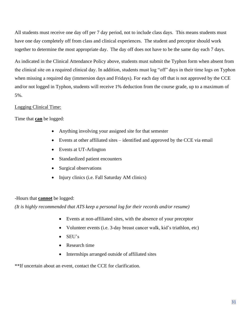All students must receive one day off per 7 day period, not to include class days. This means students must have one day completely off from class and clinical experiences. The student and preceptor should work together to determine the most appropriate day. The day off does not have to be the same day each 7 days.

As indicated in the Clinical Attendance Policy above, students must submit the Typhon form when absent from the clinical site on a required clinical day. In addition, students must log "off" days in their time logs on Typhon when missing a required day (immersion days and Fridays). For each day off that is not approved by the CCE and/or not logged in Typhon, students will receive 1% deduction from the course grade, up to a maximum of 5%.

#### Logging Clinical Time:

Time that **can** be logged:

- Anything involving your assigned site for that semester
- Events at other affiliated sites identified and approved by the CCE via email
- Events at UT-Arlington
- Standardized patient encounters
- Surgical observations
- Injury clinics (i.e. Fall Saturday AM clinics)

#### -Hours that **cannot** be logged:

*(It is highly recommended that ATS keep a personal log for their records and/or resume)*

- Events at non-affiliated sites, with the absence of your preceptor
- Volunteer events (i.e. 3-day breast cancer walk, kid's triathlon, etc)
- SEU's
- Research time
- Internships arranged outside of affiliated sites

\*\*If uncertain about an event, contact the CCE for clarification.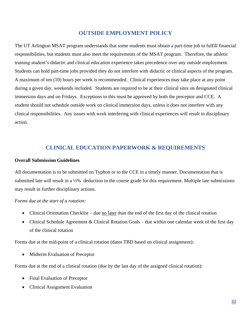#### **OUTSIDE EMPLOYMENT POLICY**

The UT Arlington MSAT program understands that some students must obtain a part-time job to fulfill financial responsibilities, but students must also meet the requirements of the MSAT program. Therefore, the athletic training student's didactic and clinical education experience takes precedence over any outside employment. Students can hold part-time jobs provided they do not interfere with didactic or clinical aspects of the program. A maximum of ten (10) hours per week is recommended. Clinical experiences may take place at any point during a given day, weekends included. Students are required to be at their clinical sites on designated clinical immersion days and on Fridays. Exceptions to this must be approved by both the preceptor and CCE. A student should not schedule outside work on clinical immersion days, unless it does not interfere with any clinical responsibilities. Any issues with work interfering with clinical experiences will result in disciplinary action.

#### **CLINICAL EDUCATION PAPERWORK & REQUIREMENTS**

#### **Overall Submission Guidelines**

All documentation is to be submitted on Typhon or to the CCE in a timely manner. Documentation that is submitted late will result in a 1/2% deduction in the course grade for this requirement. Multiple late submissions may result in further disciplinary actions.

#### *Forms due at the start of a rotation:*

- Clinical Orientation Checklist due no later than the end of the first day of the clinical rotation
- Clinical Schedule Agreement & Clinical Rotation Goals due within one calendar week of the first day of the clinical rotation

Forms due at the mid-point of a clinical rotation (dates TBD based on clinical assignment):

• Midterm Evaluation of Preceptor

Forms due at the end of a clinical rotation (due by the last day of the assigned clinical rotation):

- Final Evaluation of Preceptor
- Clinical Assignment Evaluation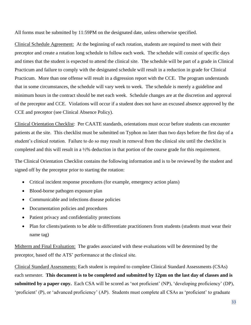All forms must be submitted by 11:59PM on the designated date, unless otherwise specified.

Clinical Schedule Agreement: At the beginning of each rotation, students are required to meet with their preceptor and create a rotation long schedule to follow each week. The schedule will consist of specific days and times that the student is expected to attend the clinical site. The schedule will be part of a grade in Clinical Practicum and failure to comply with the designated schedule will result in a reduction in grade for Clinical Practicum. More than one offense will result in a digression report with the CCE. The program understands that in some circumstances, the schedule will vary week to week. The schedule is merely a guideline and minimum hours in the contract should be met each week. Schedule changes are at the discretion and approval of the preceptor and CCE. Violations will occur if a student does not have an excused absence approved by the CCE and preceptor (see Clinical Absence Policy).

Clinical Orientation Checklist: Per CAATE standards, orientations must occur before students can encounter patients at the site. This checklist must be submitted on Typhon no later than two days before the first day of a student's clinical rotation. Failure to do so may result in removal from the clinical site until the checklist is completed and this will result in a ½% deduction in that portion of the course grade for this requirement.

The Clinical Orientation Checklist contains the following information and is to be reviewed by the student and signed off by the preceptor prior to starting the rotation:

- Critical incident response procedures (for example, emergency action plans)
- Blood-borne pathogen exposure plan
- Communicable and infections disease policies
- Documentation policies and procedures
- Patient privacy and confidentiality protections
- Plan for clients/patients to be able to differentiate practitioners from students (students must wear their name tag)

Midterm and Final Evaluation: The grades associated with these evaluations will be determined by the preceptor, based off the ATS' performance at the clinical site.

Clinical Standard Assessments: Each student is required to complete Clinical Standard Assessments (CSAs) each semester. **This document is to be completed and submitted by 12pm on the last day of classes and is submitted by a paper copy.** Each CSA will be scored as 'not proficient' (NP), 'developing proficiency' (DP), 'proficient' (P), or 'advanced proficiency' (AP). Students must complete all CSAs as 'proficient' to graduate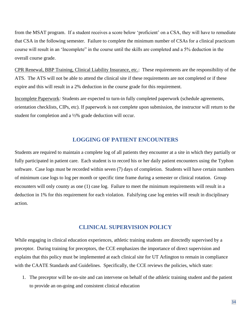from the MSAT program. If a student receives a score below 'proficient' on a CSA, they will have to remediate that CSA in the following semester. Failure to complete the minimum number of CSAs for a clinical practicum course will result in an 'Incomplete" in the course until the skills are completed and a 5% deduction in the overall course grade.

CPR Renewal, BBP Training, Clinical Liability Insurance, etc.: These requirements are the responsibility of the ATS. The ATS will not be able to attend the clinical site if these requirements are not completed or if these expire and this will result in a 2% deduction in the course grade for this requirement.

Incomplete Paperwork*:* Students are expected to turn-in fully completed paperwork (schedule agreements, orientation checklists, CIPs, etc). If paperwork is not complete upon submission, the instructor will return to the student for completion and a ½% grade deduction will occur.

#### **LOGGING OF PATIENT ENCOUNTERS**

Students are required to maintain a complete log of all patients they encounter at a site in which they partially or fully participated in patient care. Each student is to record his or her daily patient encounters using the Typhon software. Case logs must be recorded within seven (7) days of completion. Students will have certain numbers of minimum case logs to log per month or specific time frame during a semester or clinical rotation. Group encounters will only county as one (1) case log. Failure to meet the minimum requirements will result in a deduction in 1% for this requirement for each violation. Falsifying case log entries will result in disciplinary action.

#### **CLINICAL SUPERVISION POLICY**

While engaging in clinical education experiences, athletic training students are directedly supervised by a preceptor. During training for preceptors, the CCE emphasizes the importance of direct supervision and explains that this policy must be implemented at each clinical site for UT Arlington to remain in compliance with the CAATE Standards and Guidelines. Specifically, the CCE reviews the policies, which state:

1. The preceptor will be on-site and can intervene on behalf of the athletic training student and the patient to provide an on-going and consistent clinical education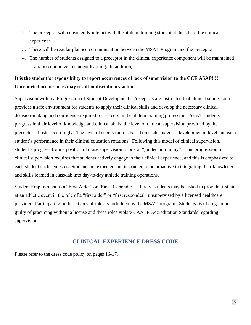- 2. The preceptor will consistently interact with the athletic training student at the site of the clinical experience
- 3. There will be regular planned communication between the MSAT Program and the preceptor
- 4. The number of students assigned to a preceptor in the clinical experience component will be maintained at a ratio conducive to student learning. In addition,

#### **It is the student's responsibility to report occurrences of lack of supervision to the CCE ASAP!!!! Unreported occurrences may result in disciplinary action.**

Supervision within a Progression of Student Development: Preceptors are instructed that clinical supervision provides a safe environment for students to apply their clinical skills and develop the necessary clinical decision-making and confidence required for success in the athletic training profession. As AT students progress in their level of knowledge and clinical skills, the level of clinical supervision provided by the preceptor adjusts accordingly. The level of supervision is based on each student's developmental level and each student's performance in their clinical education rotations. Following this model of clinical supervision, student's progress from a position of close supervision to one of "guided autonomy". This progression of clinical supervision requires that students actively engage in their clinical experience, and this is emphasized to each student each semester. Students are expected and instructed to be proactive in integrating their knowledge and skills learned in class/lab into day-to-day athletic training operations.

Student Employment as a "First Aider" or "First Responder": Rarely, students may be asked to provide first aid at an athletic event in the role of a "first aider" or "first responder", unsupervised by a licensed healthcare provider. Participating in these types of roles is forbidden by the MSAT program. Students risk being found guilty of practicing without a license and these roles violate CAATE Accreditation Standards regarding supervision.

#### **CLINICAL EXPERIENCE DRESS CODE**

Please refer to the dress code policy on pages 16-17.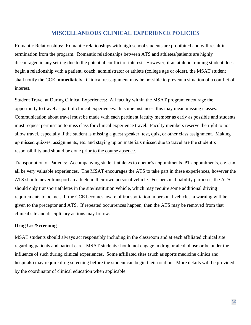#### **MISCELLANEOUS CLINICAL EXPERIENCE POLICIES**

Romantic Relationships: Romantic relationships with high school students are prohibited and will result in termination from the program. Romantic relationships between ATS and athletes/patients are highly discouraged in any setting due to the potential conflict of interest. However, if an athletic training student does begin a relationship with a patient, coach, administrator or athlete (college age or older), the MSAT student shall notify the CCE **immediately**. Clinical reassignment may be possible to prevent a situation of a conflict of interest.

Student Travel at During Clinical Experiences: All faculty within the MSAT program encourage the opportunity to travel as part of clinical experiences. In some instances, this may mean missing classes. Communication about travel must be made with each pertinent faculty member as early as possible and students must request permission to miss class for clinical experience travel. Faculty members reserve the right to not allow travel, especially if the student is missing a guest speaker, test, quiz, or other class assignment. Making up missed quizzes, assignments, etc. and staying up on materials missed due to travel are the student's responsibility and should be done prior to the course absence.

Transportation of Patients: Accompanying student-athletes to doctor's appointments, PT appointments, etc. can all be very valuable experiences. The MSAT encourages the ATS to take part in these experiences, however the ATS should never transport an athlete in their own personal vehicle. For personal liability purposes, the ATS should only transport athletes in the site/institution vehicle, which may require some additional driving requirements to be met. If the CCE becomes aware of transportation in personal vehicles, a warning will be given to the preceptor and ATS. If repeated occurrences happen, then the ATS may be removed from that clinical site and disciplinary actions may follow.

#### **Drug Use/Screening**

MSAT students should always act responsibly including in the classroom and at each affiliated clinical site regarding patients and patient care. MSAT students should not engage in drug or alcohol use or be under the influence of such during clinical experiences. Some affiliated sites (such as sports medicine clinics and hospitals) may require drug screening before the student can begin their rotation. More details will be provided by the coordinator of clinical education when applicable.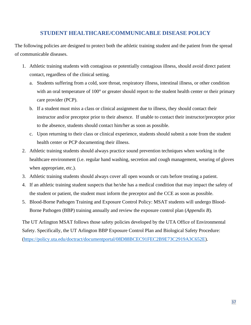#### **STUDENT HEALTHCARE/COMMUNICABLE DISEASE POLICY**

The following policies are designed to protect both the athletic training student and the patient from the spread of communicable diseases.

- 1. Athletic training students with contagious or potentially contagious illness, should avoid direct patient contact, regardless of the clinical setting.
	- a. Students suffering from a cold, sore throat, respiratory illness, intestinal illness, or other condition with an oral temperature of 100° or greater should report to the student health center or their primary care provider (PCP).
	- b. If a student must miss a class or clinical assignment due to illness, they should contact their instructor and/or preceptor prior to their absence. If unable to contact their instructor/preceptor prior to the absence, students should contact him/her as soon as possible.
	- c. Upon returning to their class or clinical experience, students should submit a note from the student health center or PCP documenting their illness.
- 2. Athletic training students should always practice sound prevention techniques when working in the healthcare environment (i.e. regular hand washing, secretion and cough management, wearing of gloves when appropriate, etc.).
- 3. Athletic training students should always cover all open wounds or cuts before treating a patient.
- 4. If an athletic training student suspects that he/she has a medical condition that may impact the safety of the student or patient, the student must inform the preceptor and the CCE as soon as possible.
- 5. Blood-Borne Pathogen Training and Exposure Control Policy: MSAT students will undergo Blood-Borne Pathogen (BBP) training annually and review the exposure control plan (*Appendix B*).

The UT Arlington MSAT follows those safety policies developed by the UTA Office of Environmental Safety. Specifically, the UT Arlington BBP Exposure Control Plan and Biological Safety Procedure: [\(https://policy.uta.edu/doctract/documentportal/08D88BCEC91FEC2B9E73C2919A3C652E\)](https://policy.uta.edu/doctract/documentportal/08D88BCEC91FEC2B9E73C2919A3C652E).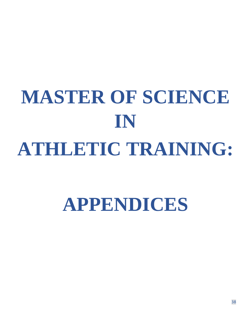# **MASTER OF SCIENCE IN ATHLETIC TRAINING:**

### **APPENDICES**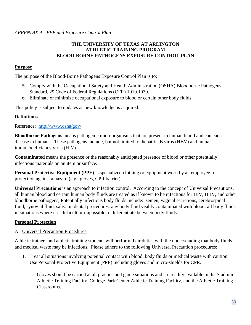#### **THE UNIVERSITY OF TEXAS AT ARLINGTON ATHLETIC TRAINING PROGRAM BLOOD-BORNE PATHOGENS EXPOSURE CONTROL PLAN**

#### **Purpose**

The purpose of the Blood-Borne Pathogens Exposure Control Plan is to:

- 5. Comply with the Occupational Safety and Health Administration (OSHA) Bloodborne Pathogens Standard, 29 Code of Federal Regulations (CFR) 1910.1030.
- 6. Eliminate or minimize occupational exposure to blood or certain other body fluids.

This policy is subject to updates as new knowledge is acquired.

#### **Definitions**

Reference: <http://www.osha/gov/>

**Bloodborne Pathogens** means pathogenic microorganisms that are present in human blood and can cause disease in humans. These pathogens include, but not limited to, hepatitis B virus (HBV) and human immunodeficiency virus (HIV).

**Contaminated** means the presence or the reasonably anticipated presence of blood or other potentially infectious materials on an item or surface.

**Personal Protective Equipment (PPE)** is specialized clothing or equipment worn by an employee for protection against a hazard (e.g., gloves, CPR barrier).

**Universal Precautions** is an approach to infection control. According to the concept of Universal Precautions, all human blood and certain human body fluids are treated as if known to be infectious for HIV, HBV, and other bloodborne pathogens, Potentially infectious body fluids include: semen, vaginal secretions, cerebrospinal fluid, synovial fluid, saliva in dental procedures, any body fluid visibly contaminated with blood, all body fluids in situations where it is difficult or impossible to differentiate between body fluids.

#### **Personal Protection**

#### A. Universal Precaution Procedures

Athletic trainers and athletic training students will perform their duties with the understanding that body fluids and medical waste may be infectious. Please adhere to the following Universal Precaution procedures:

- 1. Treat all situations involving potential contact with blood, body fluids or medical waste with caution. Use Personal Protective Equipment (PPE) including gloves and micro-shields for CPR.
	- a. Gloves should be carried at all practice and game situations and are readily available in the Stadium Athletic Training Facility, College Park Center Athletic Training Facility, and the Athletic Training Classrooms.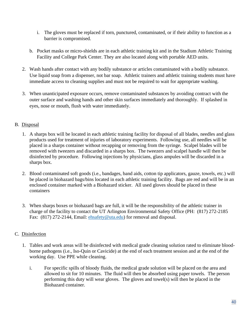- i. The gloves must be replaced if torn, punctured, contaminated, or if their ability to function as a barrier is compromised.
- b. Pocket masks or micro-shields are in each athletic training kit and in the Stadium Athletic Training Facility and College Park Center. They are also located along with portable AED units.
- 2. Wash hands after contact with any bodily substance or articles contaminated with a bodily substance. Use liquid soap from a dispenser, not bar soap. Athletic trainers and athletic training students must have immediate access to cleaning supplies and must not be required to wait for appropriate washing.
- 3. When unanticipated exposure occurs, remove contaminated substances by avoiding contract with the outer surface and washing hands and other skin surfaces immediately and thoroughly. If splashed in eyes, nose or mouth, flush with water immediately.

#### B. Disposal

- 1. A sharps box will be located in each athletic training facility for disposal of all blades, needles and glass products used for treatment of injuries of laboratory experiments. Following use, all needles will be placed in a sharps container without recapping or removing from the syringe. Scalpel blades will be removed with tweezers and discarded in a sharps box. The tweezers and scalpel handle will then be disinfected by procedure. Following injections by physicians, glass ampules will be discarded in a sharps box.
- 2. Blood contaminated soft goods (i.e., bandages, band aids, cotton tip applicators, gauze, towels, etc.) will be placed in biohazard bags/bins located in each athletic training facility. Bags are red and will be in an enclosed container marked with a Biohazard sticker. All used gloves should be placed in these containers
- 3. When sharps boxes or biohazard bags are full, it will be the responsibility of the athletic trainer in charge of the facility to contact the UT Arlington Environmental Safety Office (PH: (817) 272-2185 Fax: (817) 272-2144, Email: [ehsafety@uta.edu\)](mailto:ehsafety@uta.edu) for removal and disposal.

#### C. Disinfection

- 1. Tables and work areas will be disinfected with medical grade cleaning solution rated to eliminate bloodborne pathogens (i.e., Iso-Quin or Cavicide) at the end of each treatment session and at the end of the working day. Use PPE while cleaning.
	- i. For specific spills of bloody fluids, the medical grade solution will be placed on the area and allowed to sit for 10 minutes. The fluid will then be absorbed using paper towels. The person performing this duty will wear gloves. The gloves and towel(s) will then be placed in the Biohazard container.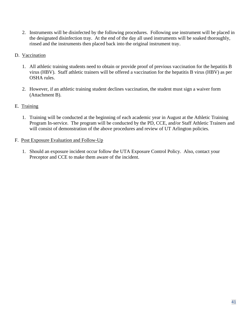- 2. Instruments will be disinfected by the following procedures. Following use instrument will be placed in the designated disinfection tray. At the end of the day all used instruments will be soaked thoroughly, rinsed and the instruments then placed back into the original instrument tray.
- D. Vaccination
	- 1. All athletic training students need to obtain or provide proof of previous vaccination for the hepatitis B virus (HBV). Staff athletic trainers will be offered a vaccination for the hepatitis B virus (HBV) as per OSHA rules.
	- 2. However, if an athletic training student declines vaccination, the student must sign a waiver form (Attachment B).
- E. Training
	- 1. Training will be conducted at the beginning of each academic year in August at the Athletic Training Program In-service. The program will be conducted by the PD, CCE, and/or Staff Athletic Trainers and will consist of demonstration of the above procedures and review of UT Arlington policies.
- F. Post Exposure Evaluation and Follow-Up
	- 1. Should an exposure incident occur follow the UTA Exposure Control Policy. Also, contact your Preceptor and CCE to make them aware of the incident.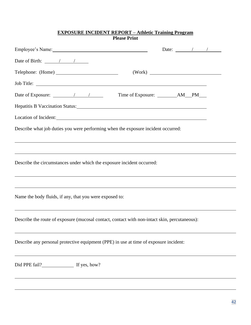#### **EXPOSURE INCIDENT REPORT – Athletic Training Program Please Print**

| Employee's Name: 1988 and 1988 and 1988 and 1988 and 1988 and 1988 and 1988 and 1988 and 1988 and 1988 and 198                                                                                                                 |  | Date: $\angle$ / / $\angle$ |  |  |
|--------------------------------------------------------------------------------------------------------------------------------------------------------------------------------------------------------------------------------|--|-----------------------------|--|--|
| Date of Birth: $\frac{\sqrt{2}}{2}$                                                                                                                                                                                            |  |                             |  |  |
|                                                                                                                                                                                                                                |  |                             |  |  |
| Job Title:                                                                                                                                                                                                                     |  |                             |  |  |
|                                                                                                                                                                                                                                |  |                             |  |  |
| Hepatitis B Vaccination Status: Manual According to the Manual According to the Manual According to the Manual According to the Manual According to the Manual According to the Manual According to the Manual According to th |  |                             |  |  |
| Location of Incident: Note that the contract of the contract of the contract of the contract of the contract of the contract of the contract of the contract of the contract of the contract of the contract of the contract o |  |                             |  |  |
| Describe what job duties you were performing when the exposure incident occurred:                                                                                                                                              |  |                             |  |  |
| Describe the circumstances under which the exposure incident occurred:                                                                                                                                                         |  |                             |  |  |
| Name the body fluids, if any, that you were exposed to:                                                                                                                                                                        |  |                             |  |  |
| Describe the route of exposure (mucosal contact, contact with non-intact skin, percutaneous):                                                                                                                                  |  |                             |  |  |
| Describe any personal protective equipment (PPE) in use at time of exposure incident:                                                                                                                                          |  |                             |  |  |
| Did PPE fail?<br>If yes, how?                                                                                                                                                                                                  |  |                             |  |  |
|                                                                                                                                                                                                                                |  |                             |  |  |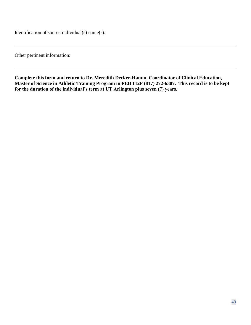Identification of source individual(s) name(s):

Other pertinent information:

**Complete this form and return to Dr. Meredith Decker-Hamm, Coordinator of Clinical Education, Master of Science in Athletic Training Program in PEB 112F (817) 272-6307. This record is to be kept for the duration of the individual's term at UT Arlington plus seven (7) years.**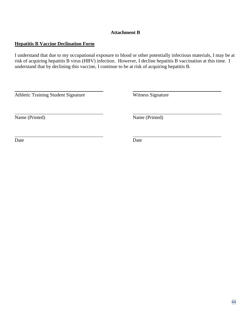#### **Attachment B**

#### **Hepatitis B Vaccine Declination Form**

I understand that due to my occupational exposure to blood or other potentially infectious materials, I may be at risk of acquiring hepatitis B virus (HBV) infection. However, I decline hepatitis B vaccination at this time. I understand that by declining this vaccine, I continue to be at risk of acquiring hepatitis B.

Athletic Training Student Signature Witness Signature

Name (Printed) Name (Printed)

Date Date Date